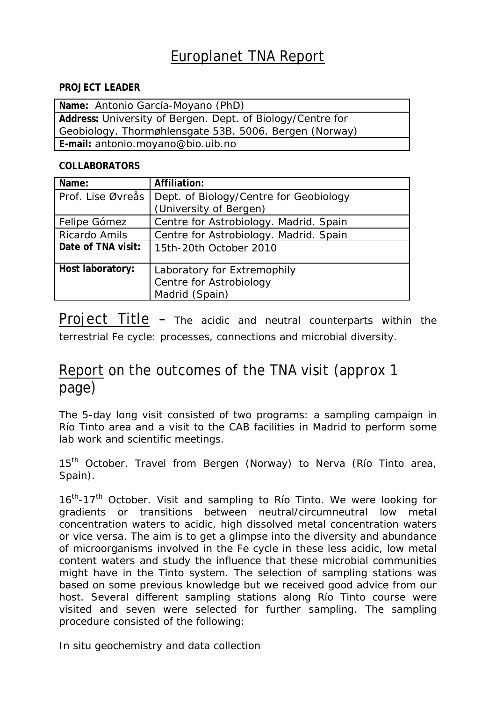## Europlanet TNA Report

## **PROJECT LEADER**

| Name: Antonio García-Moyano (PhD)                          |  |
|------------------------------------------------------------|--|
| Address: University of Bergen. Dept. of Biology/Centre for |  |
| Geobiology. Thormøhlensgate 53B. 5006. Bergen (Norway)     |  |
| E-mail: antonio.moyano@bio.uib.no                          |  |

## **COLLABORATORS**

| Name:              | Affiliation:                                                             |
|--------------------|--------------------------------------------------------------------------|
| Prof. Lise Øvreås  | Dept. of Biology/Centre for Geobiology<br>(University of Bergen)         |
|                    |                                                                          |
| Felipe Gómez       | Centre for Astrobiology. Madrid. Spain                                   |
| Ricardo Amils      | Centre for Astrobiology. Madrid. Spain                                   |
| Date of TNA visit: | 15th-20th October 2010                                                   |
| Host laboratory:   | Laboratory for Extremophily<br>Centre for Astrobiology<br>Madrid (Spain) |

Project Title – The acidic and neutral counterparts within the terrestrial Fe cycle: processes, connections and microbial diversity.

## Report on the outcomes of the TNA visit (approx 1 page)

The 5-day long visit consisted of two programs: a sampling campaign in Río Tinto area and a visit to the CAB facilities in Madrid to perform some lab work and scientific meetings.

15<sup>th</sup> October. Travel from Bergen (Norway) to Nerva (Río Tinto area, Spain).

16<sup>th</sup>-17<sup>th</sup> October. Visit and sampling to Río Tinto. We were looking for gradients or transitions between neutral/circumneutral low metal concentration waters to acidic, high dissolved metal concentration waters or vice versa. The aim is to get a glimpse into the diversity and abundance of microorganisms involved in the Fe cycle in these less acidic, low metal content waters and study the influence that these microbial communities might have in the Tinto system. The selection of sampling stations was based on some previous knowledge but we received good advice from our host. Several different sampling stations along Río Tinto course were visited and seven were selected for further sampling. The sampling procedure consisted of the following:

In situ geochemistry and data collection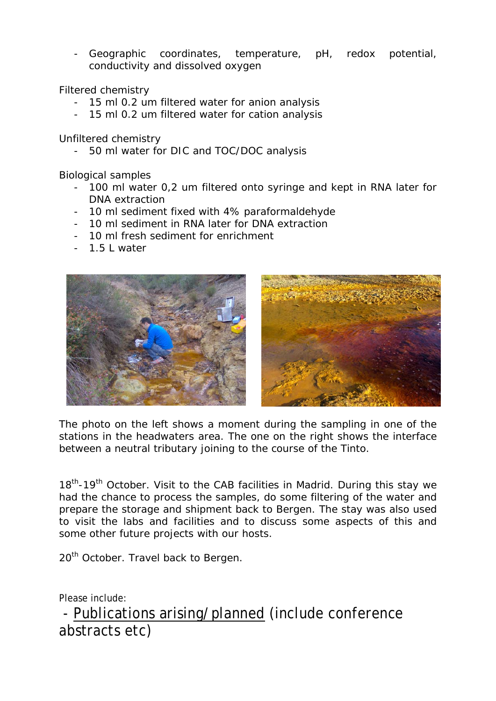- Geographic coordinates, temperature, pH, redox potential, conductivity and dissolved oxygen

Filtered chemistry

- 15 ml 0.2 um filtered water for anion analysis
- 15 ml 0.2 um filtered water for cation analysis

Unfiltered chemistry

- 50 ml water for DIC and TOC/DOC analysis

Biological samples

- 100 ml water 0,2 um filtered onto syringe and kept in RNA later for DNA extraction
- 10 ml sediment fixed with 4% paraformaldehyde
- 10 ml sediment in RNA later for DNA extraction
- 10 ml fresh sediment for enrichment
- 1.5 L water



The photo on the left shows a moment during the sampling in one of the stations in the headwaters area. The one on the right shows the interface between a neutral tributary joining to the course of the Tinto.

18<sup>th</sup>-19<sup>th</sup> October. Visit to the CAB facilities in Madrid. During this stay we had the chance to process the samples, do some filtering of the water and prepare the storage and shipment back to Bergen. The stay was also used to visit the labs and facilities and to discuss some aspects of this and some other future projects with our hosts.

20<sup>th</sup> October. Travel back to Bergen.

Please include:

 - Publications arising/planned (include conference abstracts etc)